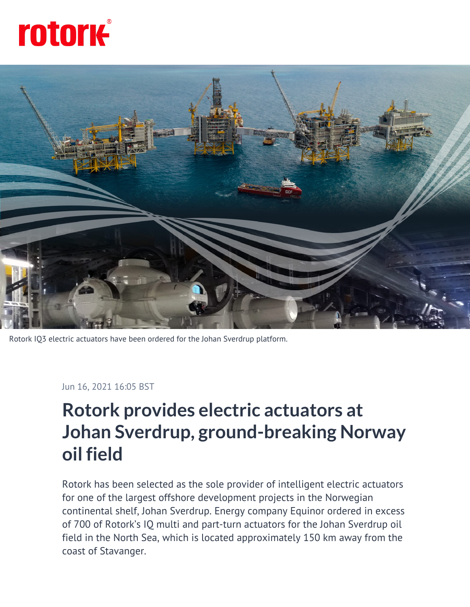## **rotork®**



Rotork IQ3 electric actuators have been ordered for the Johan Sverdrup platform.

## Jun 16, 2021 16:05 BST

## **Rotork provides electric actuators at Johan Sverdrup, ground-breaking Norway oil field**

Rotork has been selected as the sole provider of intelligent electric actuators for one of the largest offshore development projects in the Norwegian continental shelf, Johan Sverdrup. Energy company Equinor ordered in excess of 700 of Rotork's IQ multi and part-turn actuators for the Johan Sverdrup oil field in the North Sea, which is located approximately 150 km away from the coast of Stavanger.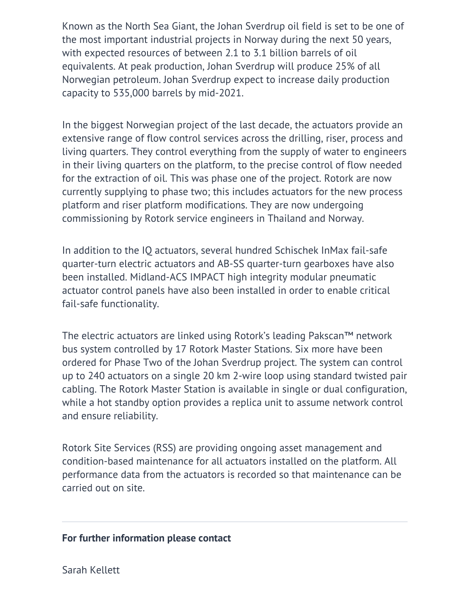Known as the North Sea Giant, the Johan Sverdrup oil field is set to be one of the most important industrial projects in Norway during the next 50 years, with expected resources of between 2.1 to 3.1 billion barrels of oil equivalents. At peak production, Johan Sverdrup will produce 25% of all Norwegian petroleum. Johan Sverdrup expect to increase daily production capacity to 535,000 barrels by mid-2021.

In the biggest Norwegian project of the last decade, the actuators provide an extensive range of flow control services across the drilling, riser, process and living quarters. They control everything from the supply of water to engineers in their living quarters on the platform, to the precise control of flow needed for the extraction of oil. This was phase one of the project. Rotork are now currently supplying to phase two; this includes actuators for the new process platform and riser platform modifications. They are now undergoing commissioning by Rotork service engineers in Thailand and Norway.

In addition to the IQ actuators, several hundred Schischek InMax fail-safe quarter-turn electric actuators and AB-SS quarter-turn gearboxes have also been installed. Midland-ACS IMPACT high integrity modular pneumatic actuator control panels have also been installed in order to enable critical fail-safe functionality.

The electric actuators are linked using Rotork's leading Pakscan™ network bus system controlled by 17 Rotork Master Stations. Six more have been ordered for Phase Two of the Johan Sverdrup project. The system can control up to 240 actuators on a single 20 km 2-wire loop using standard twisted pair cabling. The Rotork Master Station is available in single or dual configuration, while a hot standby option provides a replica unit to assume network control and ensure reliability.

Rotork Site Services (RSS) are providing ongoing asset management and condition-based maintenance for all actuators installed on the platform. All performance data from the actuators is recorded so that maintenance can be carried out on site.

## **For further information please contact**

Sarah Kellett